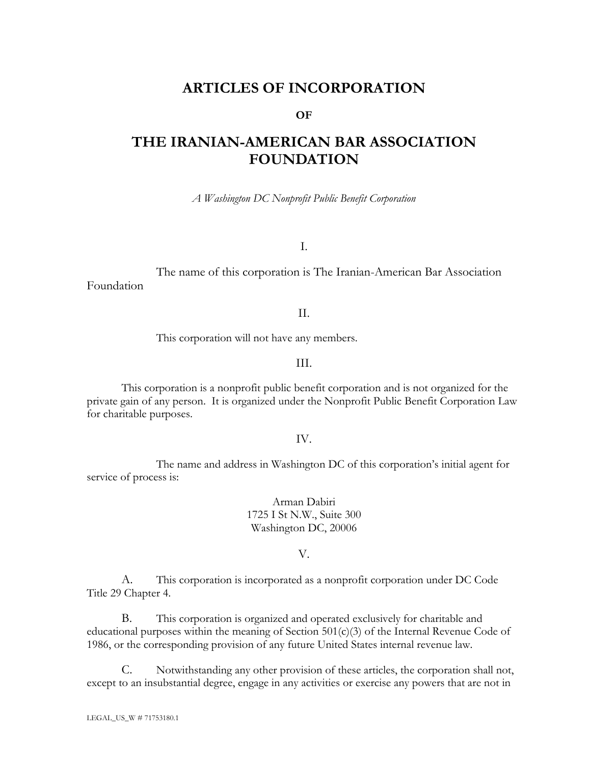## **ARTICLES OF INCORPORATION**

#### **OF**

# **THE IRANIAN-AMERICAN BAR ASSOCIATION FOUNDATION**

*A Washington DC Nonprofit Public Benefit Corporation*

I.

The name of this corporation is The Iranian-American Bar Association Foundation

II.

This corporation will not have any members.

III.

This corporation is a nonprofit public benefit corporation and is not organized for the private gain of any person. It is organized under the Nonprofit Public Benefit Corporation Law for charitable purposes.

IV.

The name and address in Washington DC of this corporation's initial agent for service of process is:

> Arman Dabiri 1725 I St N.W., Suite 300 Washington DC, 20006

> > V.

A. This corporation is incorporated as a nonprofit corporation under DC Code Title 29 Chapter 4.

B. This corporation is organized and operated exclusively for charitable and educational purposes within the meaning of Section 501(c)(3) of the Internal Revenue Code of 1986, or the corresponding provision of any future United States internal revenue law.

C. Notwithstanding any other provision of these articles, the corporation shall not, except to an insubstantial degree, engage in any activities or exercise any powers that are not in